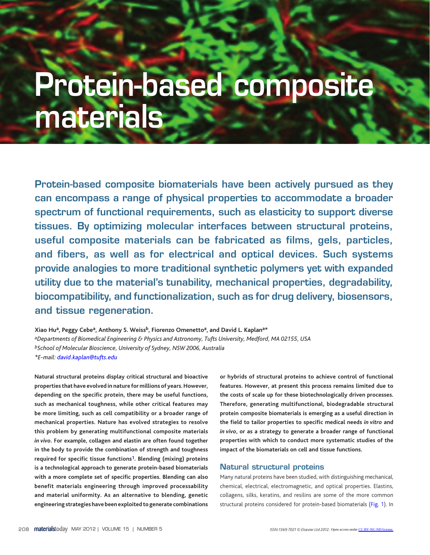# **Protein-based composite materials**

**Protein-based composite biomaterials have been actively pursued as they can encompass a range of physical properties to accommodate a broader spectrum of functional requirements, such as elasticity to support diverse tissues. By optimizing molecular interfaces between structural proteins, useful composite materials can be fabricated as films, gels, particles, and fibers, as well as for electrical and optical devices. Such systems provide analogies to more traditional synthetic polymers yet with expanded utility due to the material's tunability, mechanical properties, degradability, biocompatibility, and functionalization, such as for drug delivery, biosensors, and tissue regeneration.**

**Xiao Hua, Peggy Cebea, Anthony S. Weissb, Fiorenzo Omenettoa, and David L. Kaplana\*** *aDepartments of Biomedical Engineering & Physics and Astronomy, Tufts University, Medford, MA 02155, USA bSchool of Molecular Bioscience, University of Sydney, NSW 2006, Australia \*E-mail[: david.kaplan@tufts.edu](mailto:david.kaplan@tufts.edu)*

**Natural structural proteins display critical structural and bioactive properties that have evolved in nature for millions of years. However, depending on the specific protein, there may be useful functions, such as mechanical toughness, while other critical features may be more limiting, such as cell compatibility or a broader range of mechanical properties. Nature has evolved strategies to resolve this problem by generating multifunctional composite materials**  *in vivo***. For example, collagen and elastin are often found together in the body to provide the combination of strength and toughness required for specific tissue function[s1.](#page-7-0) Blending (mixing) proteins is a technological approach to generate protein-based biomaterials with a more complete set of specific properties. Blending can also benefit materials engineering through improved processability and material uniformity. As an alternative to blending, genetic engineering strategies have been exploited to generate combinations** 

**or hybrids of structural proteins to achieve control of functional features. However, at present this process remains limited due to the costs of scale up for these biotechnologically driven processes. Therefore, generating multifunctional, biodegradable structural protein composite biomaterials is emerging as a useful direction in the field to tailor properties to specific medical needs** *in vitro* **and**  *in vivo***, or as a strategy to generate a broader range of functional properties with which to conduct more systematic studies of the impact of the biomaterials on cell and tissue functions.** 

# **Natural structural proteins**

Many natural proteins have been studied, with distinguishing mechanical, chemical, electrical, electromagnetic, and optical properties. Elastins, collagens, silks, keratins, and resilins are some of the more common structural proteins considered for protein-based biomaterials [\(Fig. 1\)](#page-1-0). In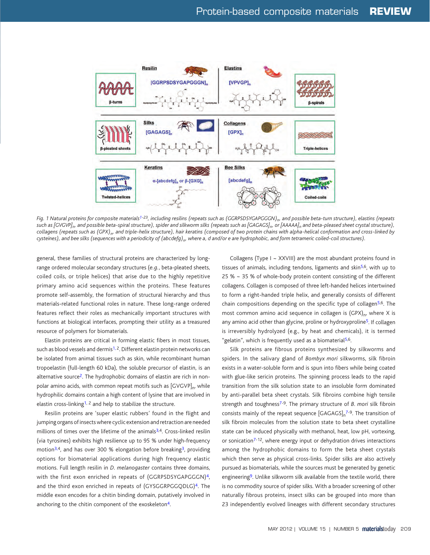<span id="page-1-0"></span>

Fig. 1 Natural proteins for composite materials<sup>1-23</sup>, including resilins (repeats such as (GGRPSDSYGAPGGGN)<sub>n</sub>, and possible beta-turn structure), elastins (repeats such as [GVGVP]<sub>n</sub>, and possible beta-spiral structure), spider and silkworm silks (repeats such as [GAGAGS]<sub>n</sub>, or [AAAAA]<sub>n</sub> and beta-pleased sheet crystal structure), collagens (repeats such as (GPX)<sub>n</sub>, and triple-helix structure), hair keratins (composed of two protein chains with alpha-helical conformation and cross-linked by cysteines), and bee silks (sequences with a periodicity of (abcdefg)<sub>n</sub>, where a, d and/or e are hydrophobic, and form tetrameric coiled-coil structures).

general, these families of structural proteins are characterized by longrange ordered molecular secondary structures (*e.g.*, beta-pleated sheets, coiled coils, or triple helices) that arise due to the highly repetitive primary amino acid sequences within the proteins. These features promote self-assembly, the formation of structural hierarchy and thus materials-related functional roles in nature. These long-range ordered features reflect their roles as mechanically important structures with functions at biological interfaces, prompting their utility as a treasured resource of polymers for biomaterials.

Elastin proteins are critical in forming elastic fibers in most tissues, such as blood vessels and dermis<sup>1, 2</sup>. Different elastin protein networks can be isolated from animal tissues such as skin, while recombinant human tropoelastin (full-length 60 kDa), the soluble precursor of elastin, is an alternative source<sup>2</sup>. The hydrophobic domains of elastin are rich in nonpolar amino acids, with common repeat motifs such as  $\left[\text{GVGVP}\right]_n$ , while hydrophilic domains contain a high content of lysine that are involved in elastin cross-linking<sup>1, 2</sup> and help to stabilize the structure.

Resilin proteins are 'super elastic rubbers' found in the flight and jumping organs of insects where cyclic extension and retraction are needed millions of times over the lifetime of the animals<sup>3,4</sup>. Cross-linked resilin (via tyrosines) exhibits high resilience up to 95 % under high-frequency motion<sup>3,4</sup>, and has over 300 % elongation before breaking<sup>3</sup>, providing options for biomaterial applications during high frequency elastic motions. Full length resilin in *D. melanogaster* contains three domains, with the first exon enriched in repeats of (GGRPSDSYGAPGGGN)<sup>4</sup>, and the third exon enriched in repeats of (GYSGGRPGGQDLG)<sup>4</sup>. The middle exon encodes for a chitin binding domain, putatively involved in anchoring to the chitin component of the exoskeleton<sup>4</sup>.

Collagens (Type I ~ XXVIII) are the most abundant proteins found in tissues of animals, including tendons, ligaments and skin<sup>5,6</sup>, with up to 25 % ~ 35 % of whole-body protein content consisting of the different collagens. Collagen is composed of three left-handed helices intertwined to form a right-handed triple helix, and generally consists of different chain compositions depending on the specific type of collagen<sup>5,6</sup>. The most common amino acid sequence in collagen is  $(GPX)_{n}$ , where X is any amino acid other than glycine, proline or hydroxyproline<sup>5</sup>. If collagen is irreversibly hydrolyzed (e.g., by heat and chemicals), it is termed "gelatin", which is frequently used as a biomaterial<sup>5,6</sup>.

Silk proteins are fibrous proteins synthesized by silkworms and spiders. In the salivary gland of *Bombyx mori* silkworms, silk fibroin exists in a water-soluble form and is spun into fibers while being coated with glue-like sericin proteins. The spinning process leads to the rapid transition from the silk solution state to an insoluble form dominated by anti-parallel beta sheet crystals. Silk fibroins combine high tensile strength and toughnes[s7-](#page-7-0)9. The primary structure of *B. mori* silk fibroin consists mainly of the repeat sequence  $[GAGAGS]_n^{7-9}$  $[GAGAGS]_n^{7-9}$  $[GAGAGS]_n^{7-9}$ . The transition of silk fibroin molecules from the solution state to beta sheet crystalline state can be induced physically with methanol, heat, low pH, vortexing, or sonication<sup>7-12</sup>, where energy input or dehydration drives interactions among the hydrophobic domains to form the beta sheet crystals which then serve as physical cross-links. Spider silks are also actively pursued as biomaterials, while the sources must be generated by genetic engineering<sup>9</sup>. Unlike silkworm silk available from the textile world, there is no commodity source of spider silks. With a broader screening of other naturally fibrous proteins, insect silks can be grouped into more than 23 independently evolved lineages with different secondary structures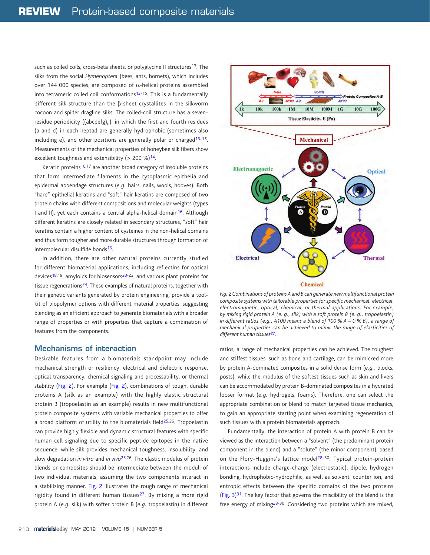such as coiled coils, cross-beta sheets, or polyglycine II structures<sup>13</sup>. The silks from the social *Hymenoptera* (bees, ants, hornets), which includes over 144 000 species, are composed of α-helical proteins assembled into tetrameric coiled coil conformations<sup>13-15</sup>. This is a fundamentally different silk structure than the β-sheet crystallites in the silkworm cocoon and spider dragline silks. The coiled-coil structure has a sevenresidue periodicity ((abcdefg)<sub>n</sub>), in which the first and fourth residues (a and d) in each heptad are generally hydrophobic (sometimes also including e), and other positions are generally polar or charged<sup>[13](#page-7-0)-15</sup>. Measurements of the mechanical properties of honeybee silk fibers show excellent toughness and extensibility ( $> 200$  %)<sup>14</sup>.

Keratin proteins<sup>16,17</sup> are another broad category of insoluble proteins that form intermediate filaments in the cytoplasmic epithelia and epidermal appendage structures (*e.g.* hairs, nails, wools, hooves). Both "hard" epithelial keratins and "soft" hair keratins are composed of two protein chains with different compositions and molecular weights (types I and II), yet each contains a central alpha-helical domain<sup>16</sup>. Although different keratins are closely related in secondary structures, "soft" hair keratins contain a higher content of cysteines in the non-helical domains and thus form tougher and more durable structures through formation of intermolecular disulfide bonds<sup>16</sup>.

In addition, there are other natural proteins currently studied for different biomaterial applications, including reflectins for optical devices<sup>18,19</sup>, amyloids for biosensors<sup>20-23</sup>, and various plant proteins for tissue regenerations<sup>24</sup>. These examples of natural proteins, together with their genetic variants generated by protein engineering, provide a toolkit of biopolymer options with different material properties, suggesting blending as an efficient approach to generate biomaterials with a broader range of properties or with properties that capture a combination of features from the components.

# **Mechanisms of interaction**

Desirable features from a biomaterials standpoint may include mechanical strength or resiliency, electrical and dielectric response, optical transparency, chemical signaling and processability, or thermal stability (Fig. 2). For example (Fig. 2), combinations of tough, durable proteins A (silk as an example) with the highly elastic structural protein B (tropoelastin as an example) results in new multifunctional protein composite systems with variable mechanical properties to offer a broad platform of utility to the biomaterials field<sup>25,26</sup>. Tropoelastin can provide highly flexible and dynamic structural features with specific human cell signaling due to specific peptide epitopes in the native sequence, while silk provides mechanical toughness, insolubility, and slow degradation *in vitro* and *in vivo*[25,](#page-7-0)26. The elastic modulus of protein blends or composites should be intermediate between the moduli of two individual materials, assuming the two components interact in a stabilizing manner. Fig. 2 illustrates the rough range of mechanical rigidity found in different human tissues<sup>27</sup>. By mixing a more rigid protein A (*e.g.* silk) with softer protein B (*e.g.* tropoelastin) in different



*Fig. 2 Combinations of proteins A and B can generate new multifunctional protein composite systems with tailorable properties for specific mechanical, electrical, electromagnetic, optical, chemical, or thermal applications. For example, by mixing rigid protein A (e. g., silk) with a soft protein B (e. g., tropoelastin) in different ratios (e.g., A100 means a blend of 100 % A – 0 % B), a range of mechanical properties can be achieved to mimic the range of elasticities of different human tissue[s27.](#page-7-0)* 

ratios, a range of mechanical properties can be achieved. The toughest and stiffest tissues, such as bone and cartilage, can be mimicked more by protein A-dominated composites in a solid dense form (*e.g.*, blocks, posts), while the modulus of the softest tissues such as skin and livers can be accommodated by protein B-dominated composites in a hydrated looser format (*e.g.* hydrogels, foams). Therefore, one can select the appropriate combination or blend to match targeted tissue mechanics, to gain an appropriate starting point when examining regeneration of such tissues with a protein biomaterials approach.

Fundamentally, the interaction of protein A with protein B can be viewed as the interaction between a "solvent" (the predominant protein component in the blend) and a "solute" (the minor component), based on the Flory-Huggins's lattice model<sup>28-30</sup>. Typical protein-protein interactions include charge-charge (electrostatic), dipole, hydrogen bonding, hydrophobic-hydrophilic, as well as solvent, counter ion, and entropic effects between the specific domains of the two proteins (Fig.  $3$ )<sup>31</sup>. The key factor that governs the miscibility of the blend is the free energy of mixing[28-](#page-7-0)30. Considering two proteins which are mixed,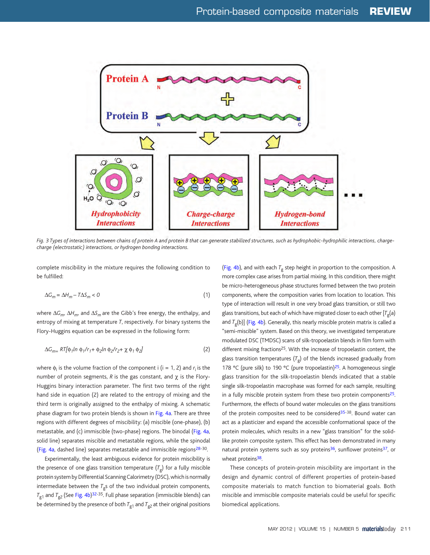<span id="page-3-0"></span>

*Fig. 3 Types of interactions between chains of protein A and protein B that can generate stabilized structures, such as hydrophobic-hydrophilic interactions, chargecharge (electrostatic) interactions, or hydrogen bonding interactions.* 

complete miscibility in the mixture requires the following condition to be fulfilled:

$$
\Delta G_m = \Delta H_m - T\Delta S_m < 0\tag{1}
$$

where Δ*Gm*, Δ*Hm*, and Δ*Sm* are the Gibb's free energy, the enthalpy, and entropy of mixing at temperature *T*, respectively. For binary systems the Flory-Huggins equation can be expressed in the following form:

$$
\Delta G_{m=} RT[\phi_1 \ln \phi_1 / r_1 + \phi_2 \ln \phi_2 / r_2 + \chi \phi_1 \phi_2]
$$
 (2)

where  $\phi_i$  is the volume fraction of the component i (i = 1, 2) and  $r_i$  is the number of protein segments, *R* is the gas constant, and χ is the Flory-Huggins binary interaction parameter. The first two terms of the right hand side in equation (2) are related to the entropy of mixing and the third term is originally assigned to the enthalpy of mixing. A schematic phase diagram for two protein blends is shown i[n Fig. 4a.](#page-4-0) There are three regions with different degrees of miscibility: (a) miscible (one-phase), (b) metastable, and (c) immiscible (two-phase) regions. The binodal [\(Fig. 4a,](#page-4-0) solid line) separates miscible and metastable regions, while the spinodal [\(Fig. 4a,](#page-4-0) dashed line) separates metastable and immiscible region[s28-](#page-7-0)30.

Experimentally, the least ambiguous evidence for protein miscibility is the presence of one glass transition temperature  $(T<sub>g</sub>)$  for a fully miscible protein system by Differential Scanning Calorimetry (DSC), which is normally intermediate between the  $T_{\sigma}$ s of the two individual protein components,  $T_{\text{g1}}$  and  $T_{\text{g2}}$  (See [Fig. 4b](#page-4-0))<sup>32-35</sup>. Full phase separation (immiscible blends) can be determined by the presence of both  $T_{g1}$  and  $T_{g2}$  at their original positions [\(Fig. 4b\)](#page-4-0), and with each  $T_g$  step height in proportion to the composition. A more complex case arises from partial mixing. In this condition, there might be micro-heterogeneous phase structures formed between the two protein components, where the composition varies from location to location. This type of interaction will result in one very broad glass transition, or still two glass transitions, but each of which have migrated closer to each other  $[T<sub>o</sub>(a)$ and  $T_p(b)$ ] [\(Fig. 4b\)](#page-4-0). Generally, this nearly miscible protein matrix is called a "semi-miscible" system. Based on this theory, we investigated temperature modulated DSC (TMDSC) scans of silk-tropoelastin blends in film form with different mixing fractions<sup>25</sup>. With the increase of tropoelastin content, the glass transition temperatures  $(T_g)$  of the blends increased gradually from 178 °C (pure silk) to 190 °C (pure tropoelastin)<sup>25</sup>. A homogeneous single glass transition for the silk-tropoelastin blends indicated that a stable single silk-tropoelastin macrophase was formed for each sample, resulting in a fully miscible protein system from these two protein components $25$ . Furthermore, the effects of bound water molecules on the glass transitions of the protein composites need to be considered<sup>35-38</sup>. Bound water can act as a plasticizer and expand the accessible conformational space of the protein molecules, which results in a new "glass transition" for the solidlike protein composite system. This effect has been demonstrated in many natural protein systems such as soy proteins $36$ , sunflower proteins $37$ , or wheat proteins<sup>38</sup>.

These concepts of protein-protein miscibility are important in the design and dynamic control of different properties of protein-based composite materials to match function to biomaterial goals. Both miscible and immiscible composite materials could be useful for specific biomedical applications.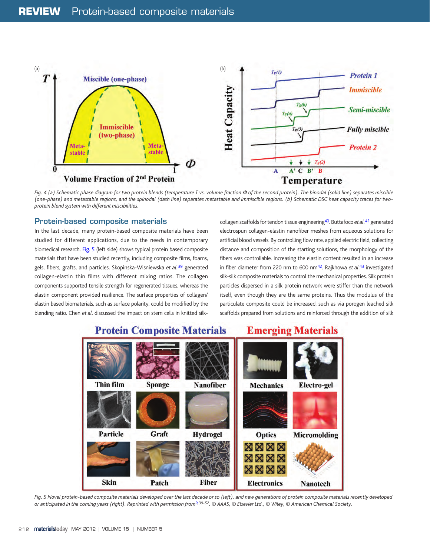<span id="page-4-0"></span>

*Fig. 4 (a) Schematic phase diagram for two protein blends (temperature T vs. volume fraction* Φ *of the second protein). The binodal (solid line) separates miscible (one-phase) and metastable regions, and the spinodal (dash line) separates metastable and immiscible regions. (b) Schematic DSC heat capacity traces for twoprotein blend system with different miscibilities.* 

# **Protein-based composite materials**

In the last decade, many protein-based composite materials have been studied for different applications, due to the needs in contemporary biomedical research. Fig. 5 (left side) shows typical protein based composite materials that have been studied recently, including composite films, foams, gels, fibers, grafts, and particles. Skopinska-Wisniewska *et al.*[39](#page-7-0) generated collagen-elastin thin films with different mixing ratios. The collagen components supported tensile strength for regenerated tissues, whereas the elastin component provided resilience. The surface properties of collagen/ elastin based biomaterials, such as surface polarity, could be modified by the blending ratio. Chen *et al*. discussed the impact on stem cells in knitted silkcollagen scaffolds for tendon tissue engineerin[g40.](#page-7-0) Buttafoco *et al.*[41](#page-7-0) generated electrospun collagen-elastin nanofiber meshes from aqueous solutions for artificial blood vessels. By controlling flow rate, applied electric field, collecting distance and composition of the starting solutions, the morphology of the fibers was controllable. Increasing the elastin content resulted in an increase in fiber diameter from 220 nm to 600 n[m42.](#page-7-0) Rajkhowa *et al*. [43](#page-7-0) investigated silk-silk composite materials to control the mechanical properties. Silk protein particles dispersed in a silk protein network were stiffer than the network itself, even though they are the same proteins. Thus the modulus of the particulate composite could be increased, such as via porogen leached silk scaffolds prepared from solutions and reinforced through the addition of silk



*Fig. 5 Novel protein-based composite materials developed over the last decade or so (left), and new generations of protein composite materials recently developed or anticipated in the coming years (right). Reprinted with permission fro[m9,](#page-7-0)39-52. © AAAS, © Elsevier Ltd., © Wiley, © American Chemical Society.*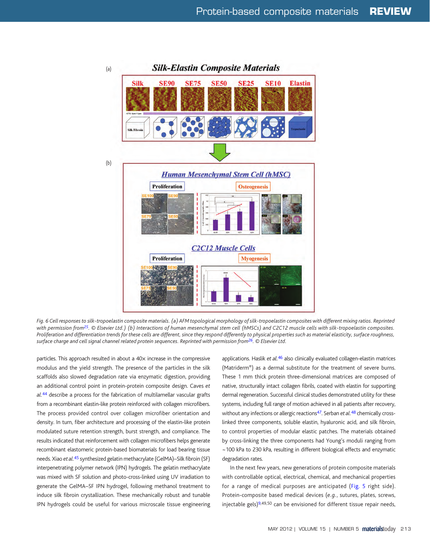<span id="page-5-0"></span>

*Fig. 6 Cell responses to silk-tropoelastin composite materials. (a) AFM topological morphology of silk-tropoelastin composites with different mixing ratios. Reprinted with permission fro[m25.](#page-7-0) © Elsevier Ltd.) (b) Interactions of human mesenchymal stem cell (hMSCs) and C2C12 muscle cells with silk-tropoelastin composites. Proliferation and differentiation trends for these cells are different, since they respond differently to physical properties such as material elasticity, surface roughness, surface charge and cell signal channel related protein sequences. Reprinted with permission fro[m26.](#page-7-0) © Elsevier Ltd.*

particles. This approach resulted in about a 40x increase in the compressive modulus and the yield strength. The presence of the particles in the silk scaffolds also slowed degradation rate via enzymatic digestion, providing an additional control point in protein-protein composite design. Caves *et al.*[44](#page-7-0) describe a process for the fabrication of multilamellar vascular grafts from a recombinant elastin-like protein reinforced with collagen microfibers. The process provided control over collagen microfiber orientation and density. In turn, fiber architecture and processing of the elastin-like protein modulated suture retention strength, burst strength, and compliance. The results indicated that reinforcement with collagen microfibers helps generate recombinant elastomeric protein-based biomaterials for load bearing tissue needs. Xiao *et al.*[45 s](#page-7-0)ynthesized gelatin methacrylate (GelMA)–Silk fibroin (SF) interpenetrating polymer network (IPN) hydrogels. The gelatin methacrylate was mixed with SF solution and photo-cross-linked using UV irradiation to generate the GelMA–SF IPN hydrogel, following methanol treatment to induce silk fibroin crystallization. These mechanically robust and tunable IPN hydrogels could be useful for various microscale tissue engineering applications. Haslik *et al.*[46](#page-7-0) also clinically evaluated collagen-elastin matrices (Matriderm®) as a dermal substitute for the treatment of severe burns. These 1 mm thick protein three-dimensional matrices are composed of native, structurally intact collagen fibrils, coated with elastin for supporting dermal regeneration. Successful clinical studies demonstrated utility for these systems, including full range of motion achieved in all patients after recovery, without any infections or allergic reactions<sup>47</sup>. Serban *et al.<sup>48</sup>* chemically crosslinked three components, soluble elastin, hyaluronic acid, and silk fibroin, to control properties of modular elastic patches. The materials obtained by cross-linking the three components had Young's moduli ranging from ~100 kPa to 230 kPa, resulting in different biological effects and enzymatic degradation rates.

In the next few years, new generations of protein composite materials with controllable optical, electrical, chemical, and mechanical properties for a range of medical purposes are anticipated [\(Fig. 5](#page-4-0) right side). Protein-composite based medical devices (*e.g.*, sutures, plates, screws, injectable gels)<sup>9,49,50</sup> can be envisioned for different tissue repair needs,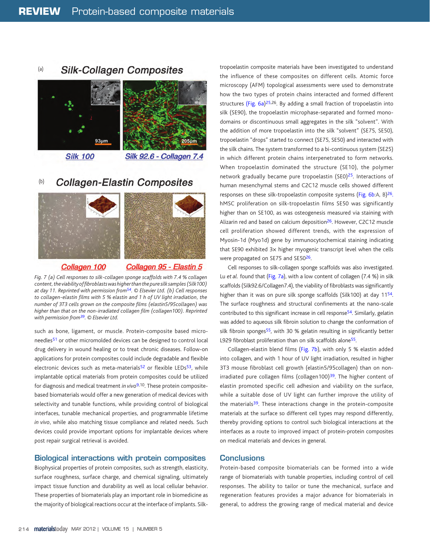#### **Silk-Collagen Composites** (a)



**Silk 100** 

# **Silk 92.6 - Collagen 7.4**

#### (b) **Collagen-Elastin Composites**



#### <u>Collagen 100</u>

# Collagen 95 - Elastin 5

*Fig. 7 (a) Cell responses to silk-collagen sponge scaffolds with 7.4 % collagen content, the viability of fibroblasts was higher than the pure silk samples (Silk100) at day 11. Reprinted with permission fro[m54.](#page-7-0) © Elsevier Ltd. (b) Cell responses to collagen-elastin films with 5 % elastin and 1 h of UV light irradiation, the number of 3T3 cells grown on the composite films (elastin5/95collagen) was higher than that on the non-irradiated collagen film (collagen100). Reprinted with permission fro[m39.](#page-7-0) © Elsevier Ltd.*

such as bone, ligament, or muscle. Protein-composite based microneedles<sup>51</sup> or other micromolded devices can be designed to control local drug delivery in wound healing or to treat chronic diseases. Follow-on applications for protein composites could include degradable and flexible electronic devices such as meta-materials $52$  or flexible LEDs $53$ , while implantable optical materials from protein composites could be utilized for diagnosis and medical treatment *in vivo*<sup>[9,1](#page-7-0)0</sup>. These protein compositebased biomaterials would offer a new generation of medical devices with selectivity and tunable functions, while providing control of biological interfaces, tunable mechanical properties, and programmable lifetime *in vivo*, while also matching tissue compliance and related needs. Such devices could provide important options for implantable devices where post repair surgical retrieval is avoided.

# **Biological interactions with protein composites**

Biophysical properties of protein composites, such as strength, elasticity, surface roughness, surface charge, and chemical signaling, ultimately impact tissue function and durability as well as local cellular behavior. These properties of biomaterials play an important role in biomedicine as the majority of biological reactions occur at the interface of implants. Silktropoelastin composite materials have been investigated to understand the influence of these composites on different cells. Atomic force microscopy (AFM) topological assessments were used to demonstrate how the two types of protein chains interacted and formed different structures [\(Fig. 6a\)](#page-5-0)[25,](#page-7-0)26. By adding a small fraction of tropoelastin into silk (SE90), the tropoelastin microphase-separated and formed monodomains or discontinuous small aggregates in the silk "solvent". With the addition of more tropoelastin into the silk "solvent" (SE75, SE50), tropoelastin "drops" started to connect (SE75, SE50) and interacted with the silk chains. The system transformed to a bi-continuous system (SE25) in which different protein chains interpenetrated to form networks. When tropoelastin dominated the structure (SE10), the polymer network gradually became pure tropoelastin (SE0)<sup>25</sup>. Interactions of human mesenchymal stems and C2C12 muscle cells showed different responses on these silk-tropoelastin composite systems [\(Fig. 6b:](#page-5-0)A, B)<sup>26</sup>. hMSC proliferation on silk-tropoelastin films SE50 was significantly higher than on SE100, as was osteogenesis measured via staining with Alizarin red and based on calcium deposition<sup>26</sup>. However, C2C12 muscle cell proliferation showed different trends, with the expression of Myosin-1d (Myo1d) gene by immunocytochemical staining indicating that SE90 exhibited 3x higher myogenic transcript level when the cells were propagated on SE75 and SE50<sup>26</sup>.

Cell responses to silk-collagen sponge scaffolds was also investigated. Lu *et al.* found that (Fig. 7a), with a low content of collagen (7.4 %) in silk scaffolds (Silk92.6/Collagen7.4), the viability of fibroblasts was significantly higher than it was on pure silk sponge scaffolds (Silk100) at day 1[154.](#page-7-0) The surface roughness and structural confinements at the nano-scale contributed to this significant increase in cell respons[e54.](#page-7-0) Similarly, gelatin was added to aqueous silk fibroin solution to change the conformation of silk fibroin sponges<sup>55</sup>, with 30 % gelatin resulting in significantly better L929 fibroblast proliferation than on silk scaffolds alone<sup>55</sup>.

Collagen-elastin blend films (Fig. 7b), with only 5 % elastin added into collagen, and with 1 hour of UV light irradiation, resulted in higher 3T3 mouse fibroblast cell growth (elastin5/95collagen) than on nonirradiated pure collagen films (collagen100)<sup>39</sup>. The higher content of elastin promoted specific cell adhesion and viability on the surface, while a suitable dose of UV light can further improve the utility of the materials<sup>39</sup>. These interactions change in the protein-composite materials at the surface so different cell types may respond differently, thereby providing options to control such biological interactions at the interfaces as a route to improved impact of protein-protein composites on medical materials and devices in general.

# **Conclusions**

Protein-based composite biomaterials can be formed into a wide range of biomaterials with tunable properties, including control of cell responses. The ability to tailor or tune the mechanical, surface and regeneration features provides a major advance for biomaterials in general, to address the growing range of medical material and device